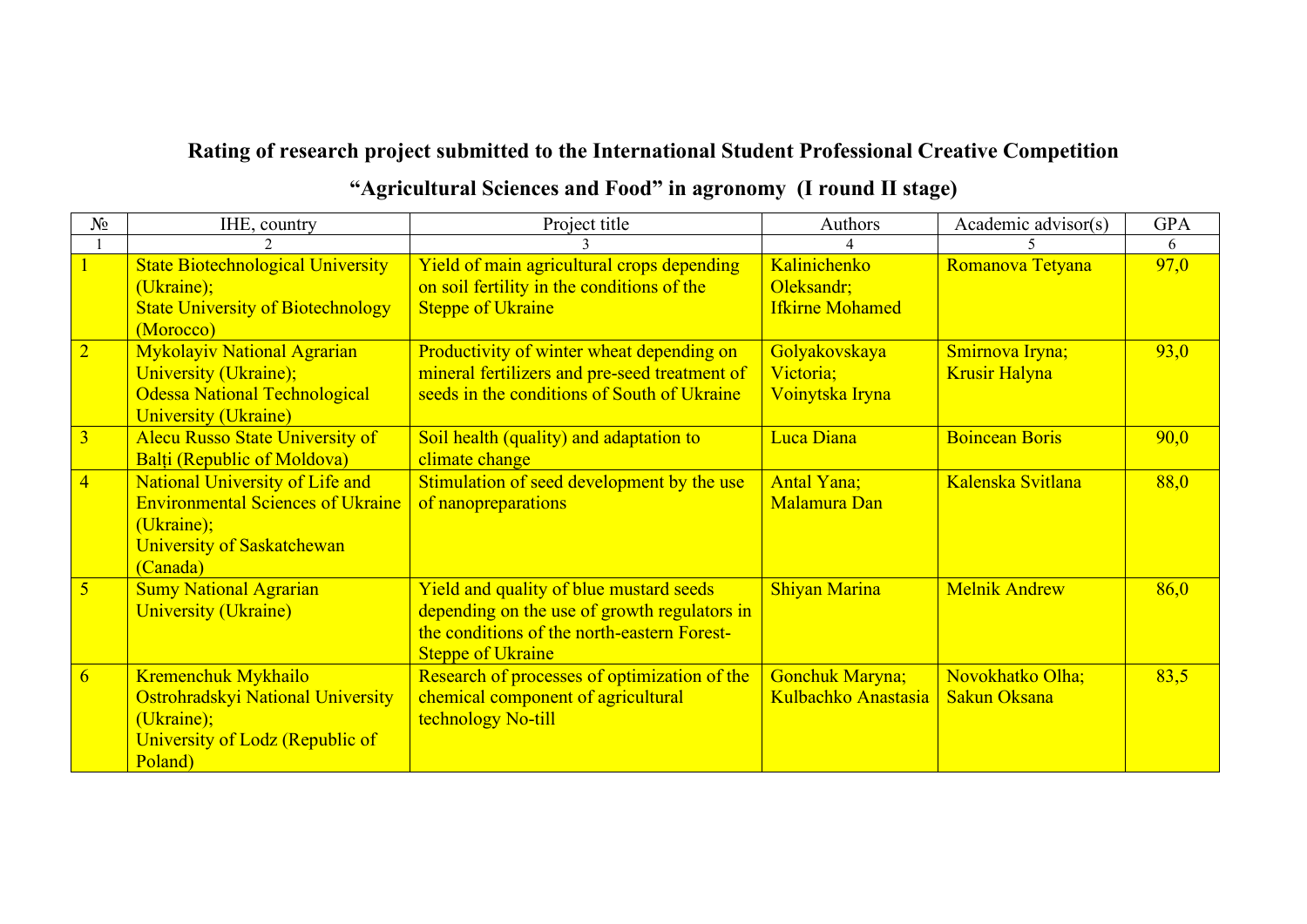## **Rating of research project submitted to the International Student Professional Creative Competition**

| $N_2$           | IHE, country                                                                                                                        | Project title                                                                                                                                                      | Authors                                       | Academic advisor(s)                     | <b>GPA</b> |
|-----------------|-------------------------------------------------------------------------------------------------------------------------------------|--------------------------------------------------------------------------------------------------------------------------------------------------------------------|-----------------------------------------------|-----------------------------------------|------------|
|                 |                                                                                                                                     |                                                                                                                                                                    |                                               |                                         | 6          |
|                 | <b>State Biotechnological University</b><br>(Ukraine);                                                                              | Yield of main agricultural crops depending<br>on soil fertility in the conditions of the                                                                           | Kalinichenko<br>Oleksandr;                    | Romanova Tetyana                        | 97,0       |
|                 | <b>State University of Biotechnology</b><br>(Morocco)                                                                               | <b>Steppe of Ukraine</b>                                                                                                                                           | <b>Ifkirne Mohamed</b>                        |                                         |            |
| $\overline{2}$  | <b>Mykolayiv National Agrarian</b><br>University (Ukraine);<br><b>Odessa National Technological</b><br><b>University (Ukraine)</b>  | Productivity of winter wheat depending on<br>mineral fertilizers and pre-seed treatment of<br>seeds in the conditions of South of Ukraine                          | Golyakovskaya<br>Victoria;<br>Voinytska Iryna | Smirnova Iryna;<br><b>Krusir Halyna</b> | 93,0       |
| $\overline{3}$  | <b>Alecu Russo State University of</b><br><b>Balti (Republic of Moldova)</b>                                                        | Soil health (quality) and adaptation to<br>climate change                                                                                                          | Luca Diana                                    | <b>Boincean Boris</b>                   | 90,0       |
| $\overline{4}$  | National University of Life and<br><b>Environmental Sciences of Ukraine</b><br>(Ukraine);<br>University of Saskatchewan<br>(Canada) | Stimulation of seed development by the use<br>of nanopreparations                                                                                                  | <b>Antal Yana</b> ;<br>Malamura Dan           | Kalenska Svitlana                       | 88,0       |
| $\sqrt{5}$      | <b>Sumy National Agrarian</b><br><b>University (Ukraine)</b>                                                                        | Yield and quality of blue mustard seeds<br>depending on the use of growth regulators in<br>the conditions of the north-eastern Forest-<br><b>Steppe of Ukraine</b> | <b>Shiyan Marina</b>                          | <b>Melnik Andrew</b>                    | 86,0       |
| $6\overline{6}$ | Kremenchuk Mykhailo<br>Ostrohradskyi National University<br>(Ukraine);<br>University of Lodz (Republic of<br>Poland)                | Research of processes of optimization of the<br>chemical component of agricultural<br>technology No-till                                                           | <b>Gonchuk Maryna;</b><br>Kulbachko Anastasia | Novokhatko Olha;<br><b>Sakun Oksana</b> | 83,5       |

## **"Agricultural Sciences and Food" in agronomy (I round II stage)**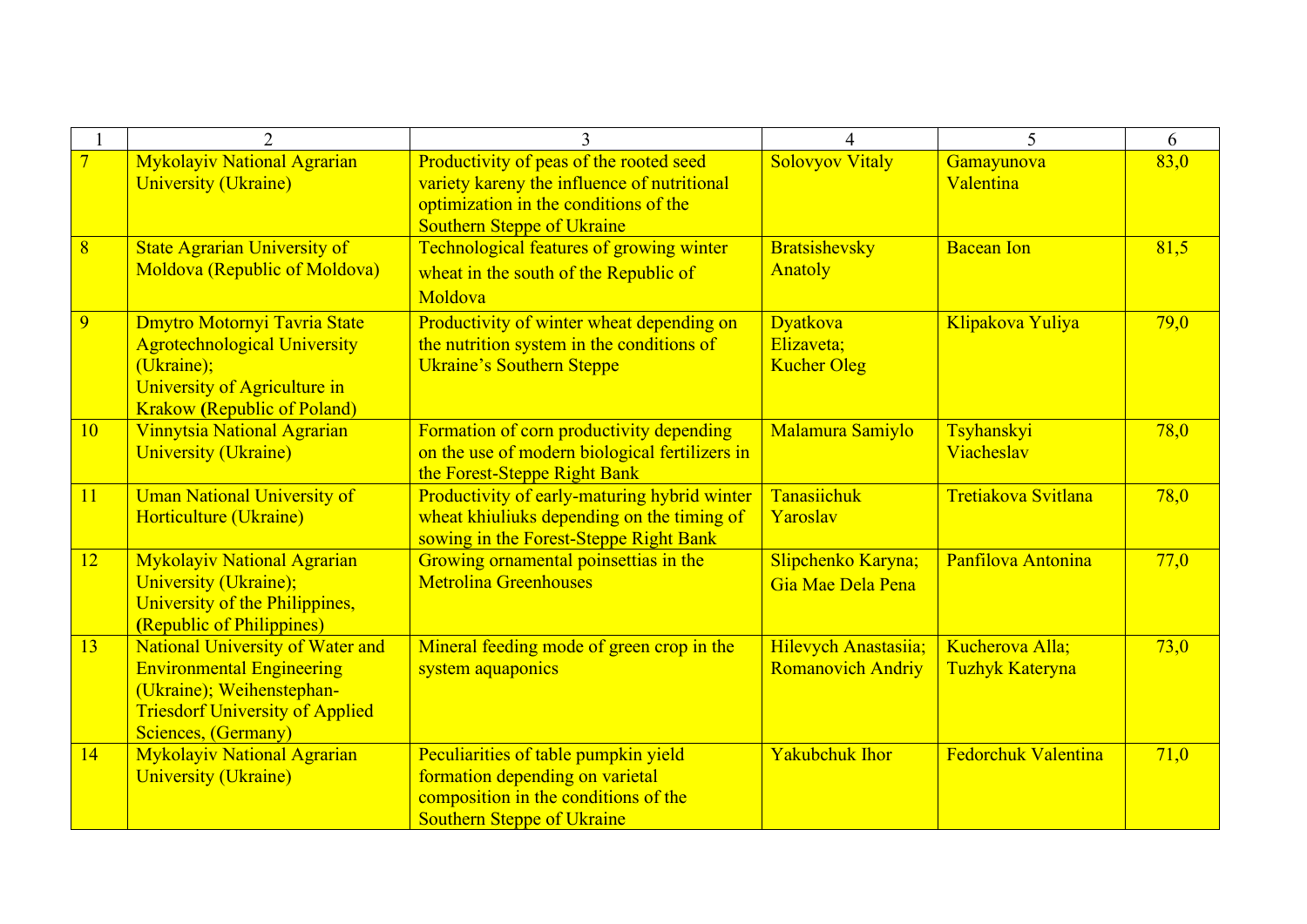|                |                                                                                                                                                                           |                                                                                                                                                                      | $\Delta$                                            | 5                                         | 6    |
|----------------|---------------------------------------------------------------------------------------------------------------------------------------------------------------------------|----------------------------------------------------------------------------------------------------------------------------------------------------------------------|-----------------------------------------------------|-------------------------------------------|------|
| $\overline{7}$ | <b>Mykolayiv National Agrarian</b><br><b>University (Ukraine)</b>                                                                                                         | Productivity of peas of the rooted seed<br>variety kareny the influence of nutritional<br>optimization in the conditions of the<br><b>Southern Steppe of Ukraine</b> | <b>Solovyov Vitaly</b>                              | Gamayunova<br>Valentina                   | 83,0 |
| 8              | <b>State Agrarian University of</b><br>Moldova (Republic of Moldova)                                                                                                      | Technological features of growing winter<br>wheat in the south of the Republic of<br>Moldova                                                                         | <b>Bratsishevsky</b><br><b>Anatoly</b>              | <b>Bacean Ion</b>                         | 81,5 |
| 9              | <b>Dmytro Motornyi Tavria State</b><br><b>Agrotechnological University</b><br>(Ukraine);<br>University of Agriculture in<br><b>Krakow (Republic of Poland)</b>            | Productivity of winter wheat depending on<br>the nutrition system in the conditions of<br><b>Ukraine's Southern Steppe</b>                                           | <b>Dyatkova</b><br>Elizaveta;<br><b>Kucher Oleg</b> | Klipakova Yuliya                          | 79,0 |
| <b>10</b>      | Vinnytsia National Agrarian<br><b>University (Ukraine)</b>                                                                                                                | Formation of corn productivity depending<br>on the use of modern biological fertilizers in<br>the Forest-Steppe Right Bank                                           | Malamura Samiylo                                    | Tsyhanskyi<br>Viacheslav                  | 78,0 |
| 11             | <b>Uman National University of</b><br>Horticulture (Ukraine)                                                                                                              | Productivity of early-maturing hybrid winter<br>wheat khiuliuks depending on the timing of<br>sowing in the Forest-Steppe Right Bank                                 | Tanasiichuk<br>Yaroslav                             | Tretiakova Svitlana                       | 78,0 |
| 12             | <b>Mykolayiv National Agrarian</b><br>University (Ukraine);<br>University of the Philippines,<br>(Republic of Philippines)                                                | Growing ornamental poinsettias in the<br><b>Metrolina Greenhouses</b>                                                                                                | Slipchenko Karyna;<br>Gia Mae Dela Pena             | Panfilova Antonina                        | 77,0 |
| 13             | <b>National University of Water and</b><br><b>Environmental Engineering</b><br>(Ukraine); Weihenstephan-<br><b>Triesdorf University of Applied</b><br>Sciences, (Germany) | Mineral feeding mode of green crop in the<br>system aquaponics                                                                                                       | Hilevych Anastasiia;<br><b>Romanovich Andriy</b>    | Kucherova Alla;<br><b>Tuzhyk Kateryna</b> | 73,0 |
| 14             | Mykolayiv National Agrarian<br><b>University (Ukraine)</b>                                                                                                                | Peculiarities of table pumpkin yield<br>formation depending on varietal<br>composition in the conditions of the<br><b>Southern Steppe of Ukraine</b>                 | <b>Yakubchuk Ihor</b>                               | <b>Fedorchuk Valentina</b>                | 71,0 |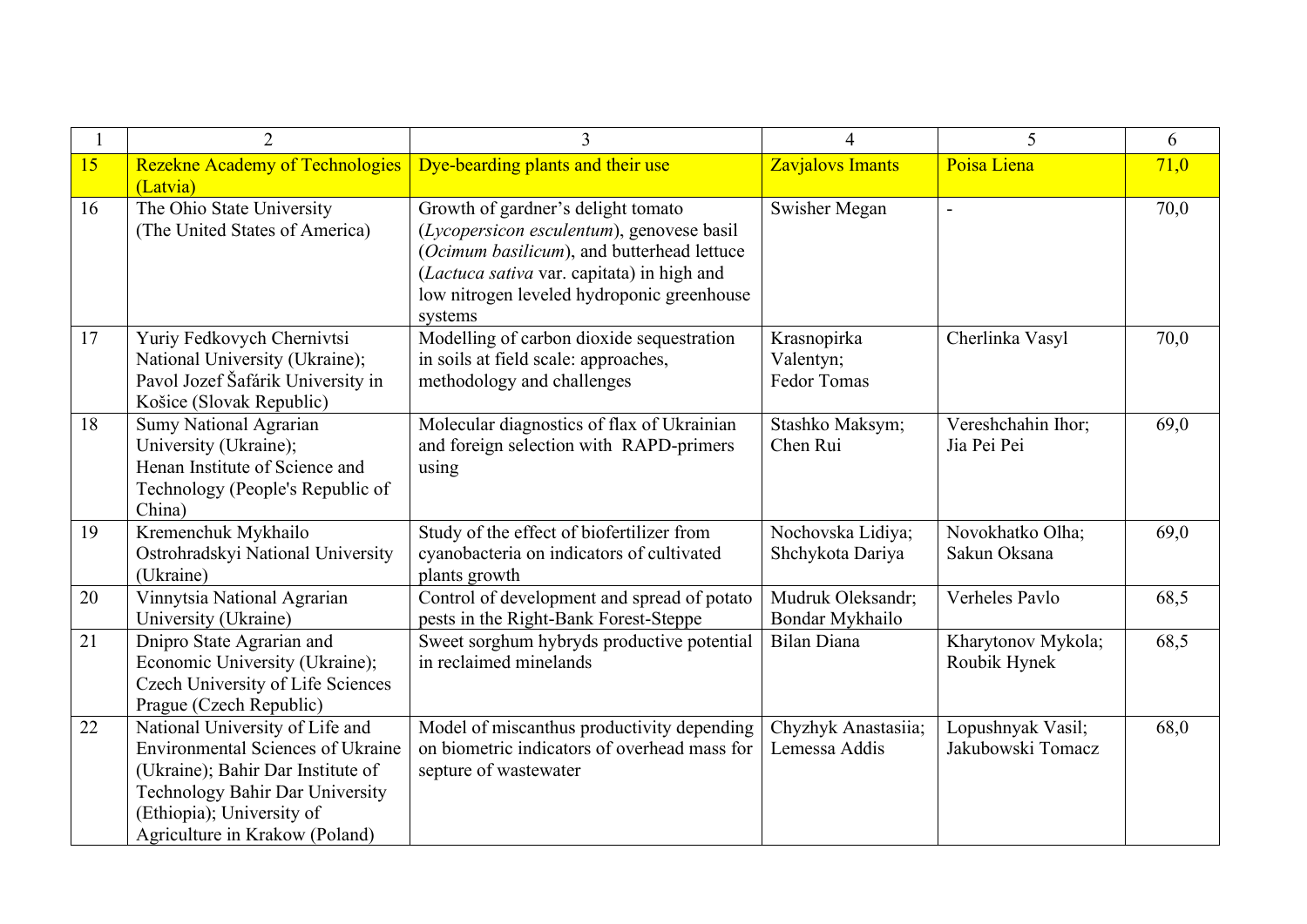|    | $\overline{2}$                                                                                                                                                                                                            | 3                                                                                                                                                                                                                                    | 4                                       | 5                                      | 6    |
|----|---------------------------------------------------------------------------------------------------------------------------------------------------------------------------------------------------------------------------|--------------------------------------------------------------------------------------------------------------------------------------------------------------------------------------------------------------------------------------|-----------------------------------------|----------------------------------------|------|
| 15 | <b>Rezekne Academy of Technologies</b><br>(Latvia)                                                                                                                                                                        | Dye-bearding plants and their use                                                                                                                                                                                                    | <b>Zavjalovs Imants</b>                 | Poisa Liena                            | 71,0 |
| 16 | The Ohio State University<br>(The United States of America)                                                                                                                                                               | Growth of gardner's delight tomato<br>(Lycopersicon esculentum), genovese basil<br>(Ocimum basilicum), and butterhead lettuce<br>(Lactuca sativa var. capitata) in high and<br>low nitrogen leveled hydroponic greenhouse<br>systems | Swisher Megan                           | $\overline{a}$                         | 70,0 |
| 17 | Yuriy Fedkovych Chernivtsi<br>National University (Ukraine);<br>Pavol Jozef Šafárik University in<br>Košice (Slovak Republic)                                                                                             | Modelling of carbon dioxide sequestration<br>in soils at field scale: approaches,<br>methodology and challenges                                                                                                                      | Krasnopirka<br>Valentyn;<br>Fedor Tomas | Cherlinka Vasyl                        | 70,0 |
| 18 | <b>Sumy National Agrarian</b><br>University (Ukraine);<br>Henan Institute of Science and<br>Technology (People's Republic of<br>China)                                                                                    | Molecular diagnostics of flax of Ukrainian<br>and foreign selection with RAPD-primers<br>using                                                                                                                                       | Stashko Maksym;<br>Chen Rui             | Vereshchahin Ihor;<br>Jia Pei Pei      | 69,0 |
| 19 | Kremenchuk Mykhailo<br>Ostrohradskyi National University<br>(Ukraine)                                                                                                                                                     | Study of the effect of biofertilizer from<br>cyanobacteria on indicators of cultivated<br>plants growth                                                                                                                              | Nochovska Lidiya;<br>Shchykota Dariya   | Novokhatko Olha;<br>Sakun Oksana       | 69,0 |
| 20 | Vinnytsia National Agrarian<br>University (Ukraine)                                                                                                                                                                       | Control of development and spread of potato<br>pests in the Right-Bank Forest-Steppe                                                                                                                                                 | Mudruk Oleksandr;<br>Bondar Mykhailo    | Verheles Pavlo                         | 68,5 |
| 21 | Dnipro State Agrarian and<br>Economic University (Ukraine);<br>Czech University of Life Sciences<br>Prague (Czech Republic)                                                                                               | Sweet sorghum hybryds productive potential<br>in reclaimed minelands                                                                                                                                                                 | <b>Bilan Diana</b>                      | Kharytonov Mykola;<br>Roubik Hynek     | 68,5 |
| 22 | National University of Life and<br><b>Environmental Sciences of Ukraine</b><br>(Ukraine); Bahir Dar Institute of<br><b>Technology Bahir Dar University</b><br>(Ethiopia); University of<br>Agriculture in Krakow (Poland) | Model of miscanthus productivity depending<br>on biometric indicators of overhead mass for<br>septure of wastewater                                                                                                                  | Chyzhyk Anastasiia;<br>Lemessa Addis    | Lopushnyak Vasil;<br>Jakubowski Tomacz | 68,0 |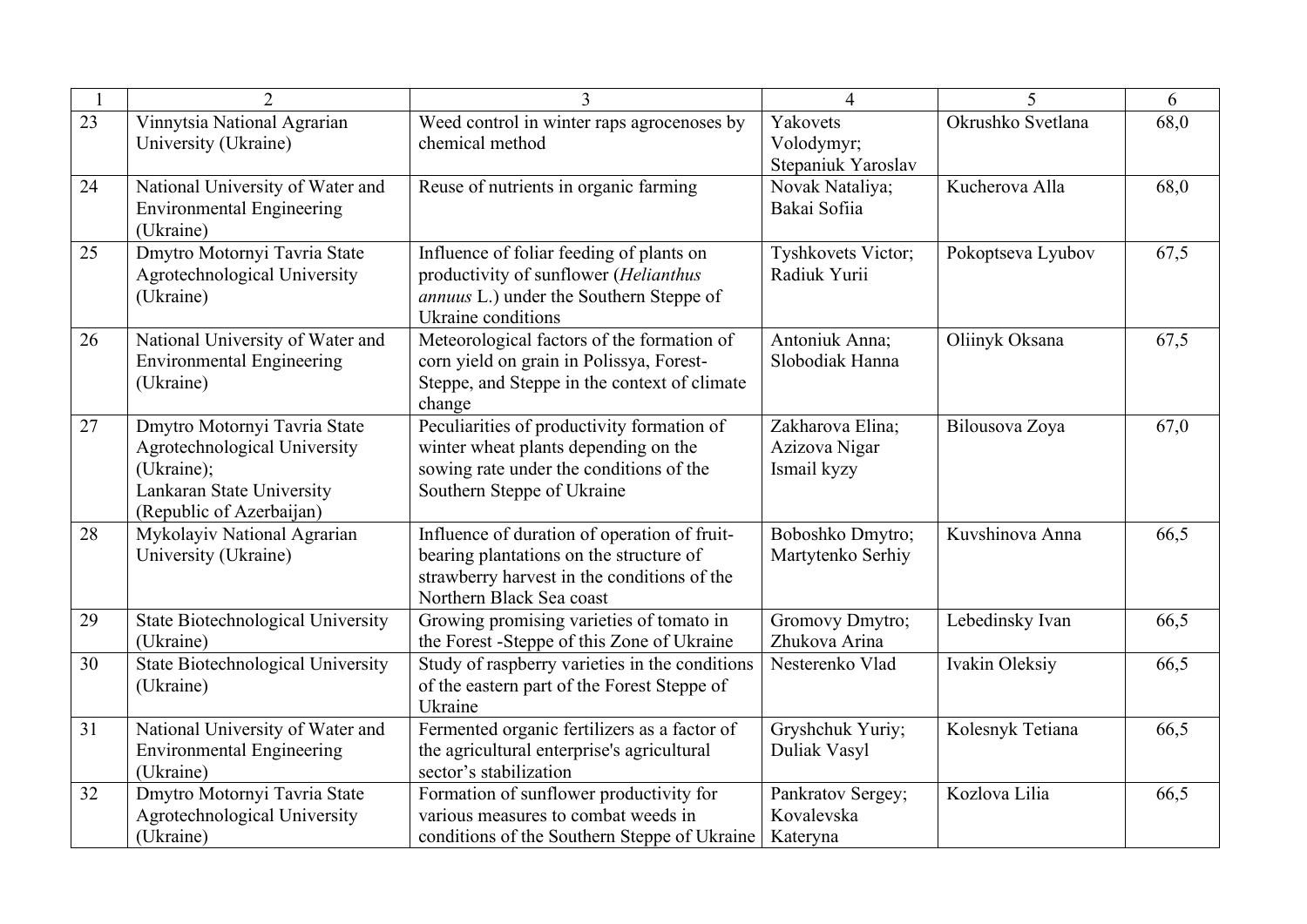|    | $\overline{2}$                                                                                                                      | $\mathcal{L}$                                                                                                                                                      | $\Delta$                                         | 5                 | 6    |
|----|-------------------------------------------------------------------------------------------------------------------------------------|--------------------------------------------------------------------------------------------------------------------------------------------------------------------|--------------------------------------------------|-------------------|------|
| 23 | Vinnytsia National Agrarian<br>University (Ukraine)                                                                                 | Weed control in winter raps agrocenoses by<br>chemical method                                                                                                      | Yakovets<br>Volodymyr;<br>Stepaniuk Yaroslav     | Okrushko Svetlana | 68,0 |
| 24 | National University of Water and<br><b>Environmental Engineering</b><br>(Ukraine)                                                   | Reuse of nutrients in organic farming                                                                                                                              | Novak Nataliya;<br>Bakai Sofiia                  | Kucherova Alla    | 68,0 |
| 25 | Dmytro Motornyi Tavria State<br>Agrotechnological University<br>(Ukraine)                                                           | Influence of foliar feeding of plants on<br>productivity of sunflower (Helianthus<br>annuus L.) under the Southern Steppe of<br>Ukraine conditions                 | Tyshkovets Victor;<br>Radiuk Yurii               | Pokoptseva Lyubov | 67,5 |
| 26 | National University of Water and<br><b>Environmental Engineering</b><br>(Ukraine)                                                   | Meteorological factors of the formation of<br>corn yield on grain in Polissya, Forest-<br>Steppe, and Steppe in the context of climate<br>change                   | Antoniuk Anna;<br>Slobodiak Hanna                | Oliinyk Oksana    | 67,5 |
| 27 | Dmytro Motornyi Tavria State<br>Agrotechnological University<br>(Ukraine);<br>Lankaran State University<br>(Republic of Azerbaijan) | Peculiarities of productivity formation of<br>winter wheat plants depending on the<br>sowing rate under the conditions of the<br>Southern Steppe of Ukraine        | Zakharova Elina;<br>Azizova Nigar<br>Ismail kyzy | Bilousova Zoya    | 67,0 |
| 28 | Mykolayiv National Agrarian<br>University (Ukraine)                                                                                 | Influence of duration of operation of fruit-<br>bearing plantations on the structure of<br>strawberry harvest in the conditions of the<br>Northern Black Sea coast | Boboshko Dmytro;<br>Martytenko Serhiy            | Kuvshinova Anna   | 66,5 |
| 29 | <b>State Biotechnological University</b><br>(Ukraine)                                                                               | Growing promising varieties of tomato in<br>the Forest -Steppe of this Zone of Ukraine                                                                             | Gromovy Dmytro;<br>Zhukova Arina                 | Lebedinsky Ivan   | 66,5 |
| 30 | State Biotechnological University<br>(Ukraine)                                                                                      | Study of raspberry varieties in the conditions<br>of the eastern part of the Forest Steppe of<br>Ukraine                                                           | Nesterenko Vlad                                  | Ivakin Oleksiy    | 66,5 |
| 31 | National University of Water and<br><b>Environmental Engineering</b><br>(Ukraine)                                                   | Fermented organic fertilizers as a factor of<br>the agricultural enterprise's agricultural<br>sector's stabilization                                               | Gryshchuk Yuriy;<br>Duliak Vasyl                 | Kolesnyk Tetiana  | 66,5 |
| 32 | Dmytro Motornyi Tavria State<br>Agrotechnological University<br>(Ukraine)                                                           | Formation of sunflower productivity for<br>various measures to combat weeds in<br>conditions of the Southern Steppe of Ukraine                                     | Pankratov Sergey;<br>Kovalevska<br>Kateryna      | Kozlova Lilia     | 66,5 |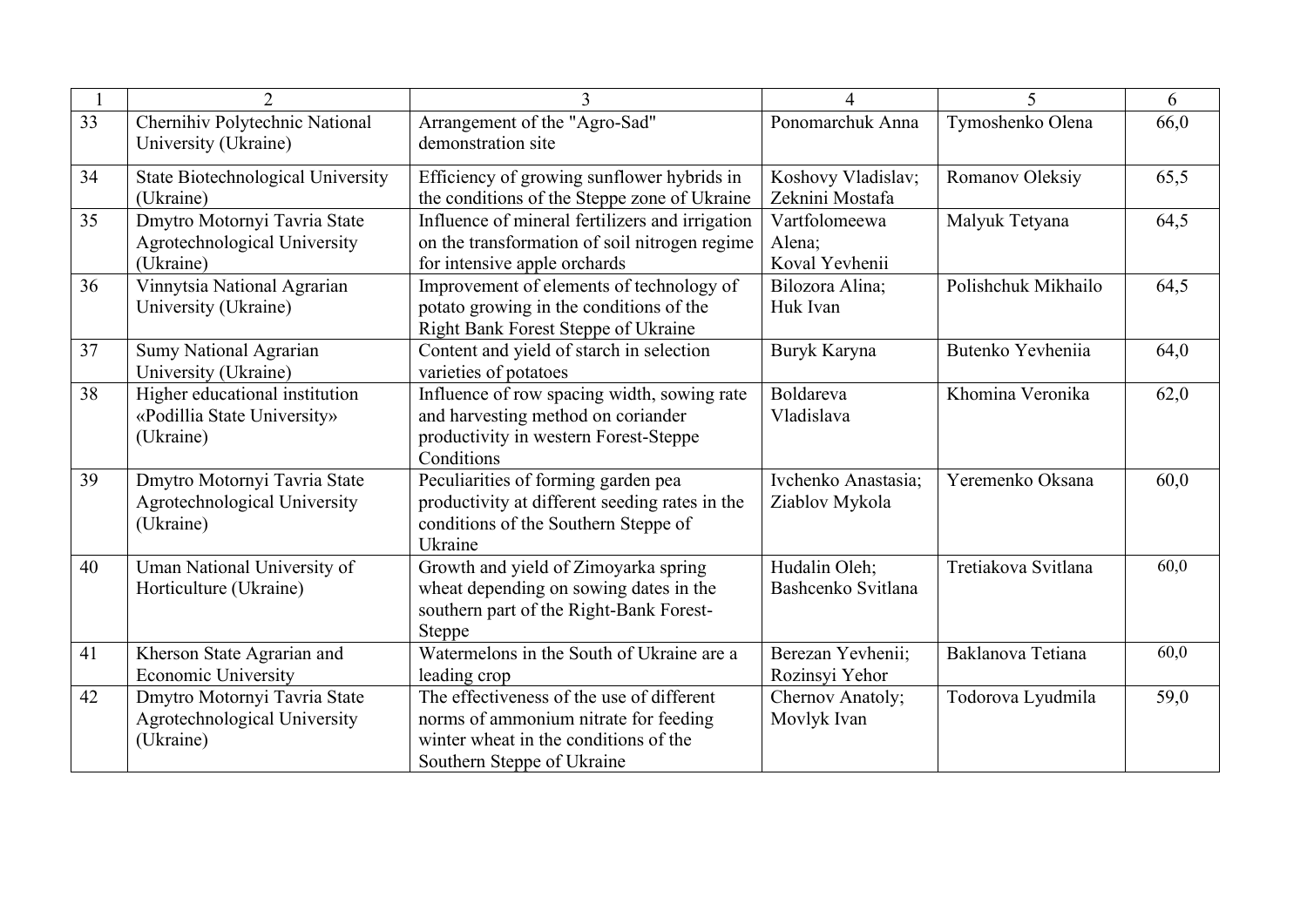|    | $\overline{2}$                                                             | 3                                                                                                                                                         | $\overline{\mathcal{A}}$                  | 5                   | 6    |
|----|----------------------------------------------------------------------------|-----------------------------------------------------------------------------------------------------------------------------------------------------------|-------------------------------------------|---------------------|------|
| 33 | Chernihiv Polytechnic National<br>University (Ukraine)                     | Arrangement of the "Agro-Sad"<br>demonstration site                                                                                                       | Ponomarchuk Anna                          | Tymoshenko Olena    | 66,0 |
| 34 | State Biotechnological University<br>(Ukraine)                             | Efficiency of growing sunflower hybrids in<br>the conditions of the Steppe zone of Ukraine                                                                | Koshovy Vladislav;<br>Zeknini Mostafa     | Romanov Oleksiy     | 65,5 |
| 35 | Dmytro Motornyi Tavria State<br>Agrotechnological University<br>(Ukraine)  | Influence of mineral fertilizers and irrigation<br>on the transformation of soil nitrogen regime<br>for intensive apple orchards                          | Vartfolomeewa<br>Alena;<br>Koval Yevhenii | Malyuk Tetyana      | 64,5 |
| 36 | Vinnytsia National Agrarian<br>University (Ukraine)                        | Improvement of elements of technology of<br>potato growing in the conditions of the<br>Right Bank Forest Steppe of Ukraine                                | Bilozora Alina;<br>Huk Ivan               | Polishchuk Mikhailo | 64,5 |
| 37 | <b>Sumy National Agrarian</b><br>University (Ukraine)                      | Content and yield of starch in selection<br>varieties of potatoes                                                                                         | Buryk Karyna                              | Butenko Yevheniia   | 64,0 |
| 38 | Higher educational institution<br>«Podillia State University»<br>(Ukraine) | Influence of row spacing width, sowing rate<br>and harvesting method on coriander<br>productivity in western Forest-Steppe<br>Conditions                  | Boldareva<br>Vladislava                   | Khomina Veronika    | 62,0 |
| 39 | Dmytro Motornyi Tavria State<br>Agrotechnological University<br>(Ukraine)  | Peculiarities of forming garden pea<br>productivity at different seeding rates in the<br>conditions of the Southern Steppe of<br>Ukraine                  | Ivchenko Anastasia;<br>Ziablov Mykola     | Yeremenko Oksana    | 60,0 |
| 40 | Uman National University of<br>Horticulture (Ukraine)                      | Growth and yield of Zimoyarka spring<br>wheat depending on sowing dates in the<br>southern part of the Right-Bank Forest-<br>Steppe                       | Hudalin Oleh;<br>Bashcenko Svitlana       | Tretiakova Svitlana | 60,0 |
| 41 | Kherson State Agrarian and<br><b>Economic University</b>                   | Watermelons in the South of Ukraine are a<br>leading crop                                                                                                 | Berezan Yevhenii;<br>Rozinsyi Yehor       | Baklanova Tetiana   | 60,0 |
| 42 | Dmytro Motornyi Tavria State<br>Agrotechnological University<br>(Ukraine)  | The effectiveness of the use of different<br>norms of ammonium nitrate for feeding<br>winter wheat in the conditions of the<br>Southern Steppe of Ukraine | Chernov Anatoly;<br>Movlyk Ivan           | Todorova Lyudmila   | 59,0 |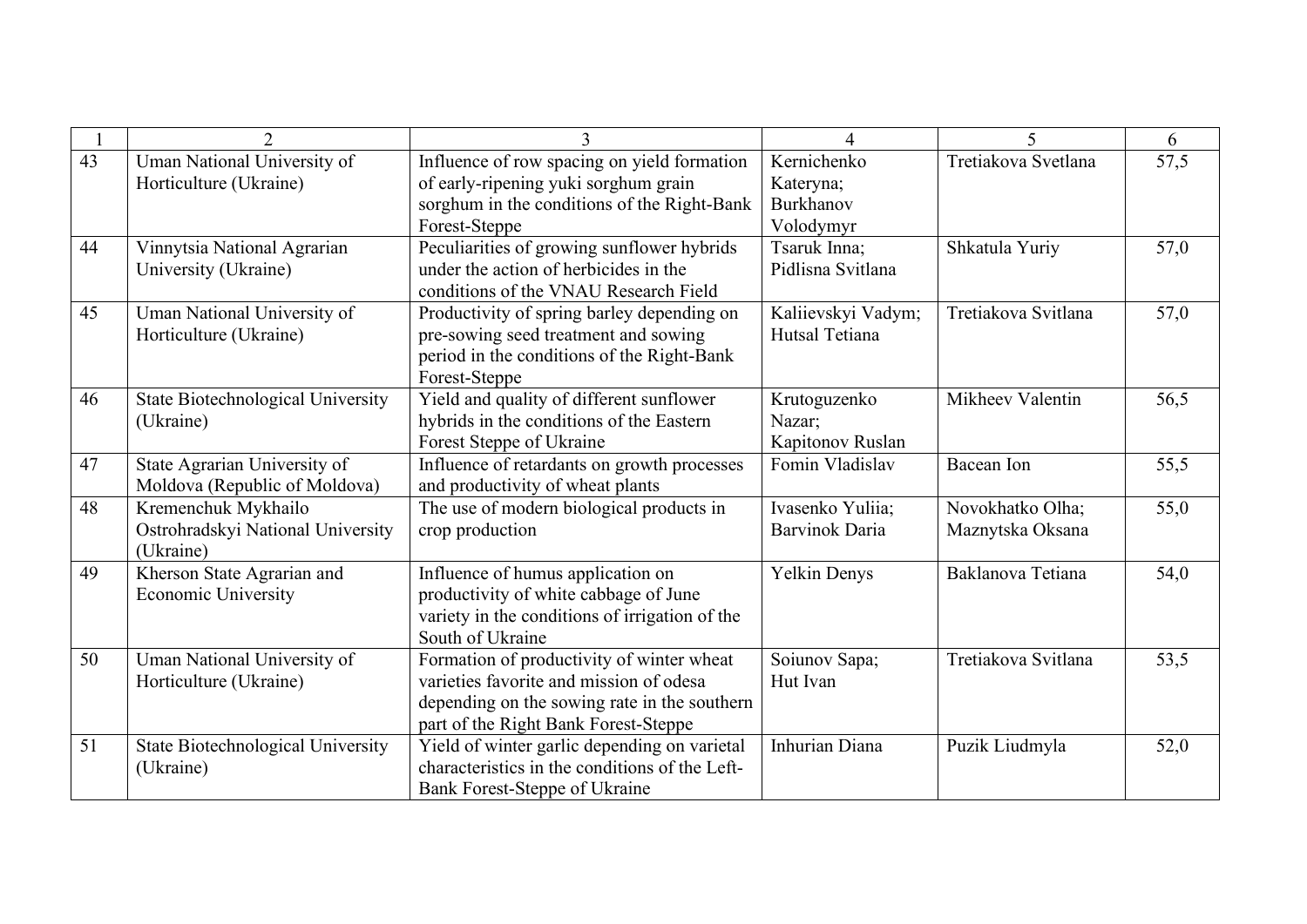|    | $\overline{2}$                                                        | 3                                                                                                                                                                            | $\Delta$                                           | 5                                    | 6    |
|----|-----------------------------------------------------------------------|------------------------------------------------------------------------------------------------------------------------------------------------------------------------------|----------------------------------------------------|--------------------------------------|------|
| 43 | Uman National University of<br>Horticulture (Ukraine)                 | Influence of row spacing on yield formation<br>of early-ripening yuki sorghum grain<br>sorghum in the conditions of the Right-Bank<br>Forest-Steppe                          | Kernichenko<br>Kateryna;<br>Burkhanov<br>Volodymyr | Tretiakova Svetlana                  | 57,5 |
| 44 | Vinnytsia National Agrarian<br>University (Ukraine)                   | Peculiarities of growing sunflower hybrids<br>under the action of herbicides in the<br>conditions of the VNAU Research Field                                                 | Tsaruk Inna;<br>Pidlisna Svitlana                  | Shkatula Yuriy                       | 57,0 |
| 45 | Uman National University of<br>Horticulture (Ukraine)                 | Productivity of spring barley depending on<br>pre-sowing seed treatment and sowing<br>period in the conditions of the Right-Bank<br>Forest-Steppe                            | Kaliievskyi Vadym;<br>Hutsal Tetiana               | Tretiakova Svitlana                  | 57,0 |
| 46 | State Biotechnological University<br>(Ukraine)                        | Yield and quality of different sunflower<br>hybrids in the conditions of the Eastern<br>Forest Steppe of Ukraine                                                             | Krutoguzenko<br>Nazar;<br>Kapitonov Ruslan         | Mikheev Valentin                     | 56,5 |
| 47 | State Agrarian University of<br>Moldova (Republic of Moldova)         | Influence of retardants on growth processes<br>and productivity of wheat plants                                                                                              | Fomin Vladislav                                    | Bacean Ion                           | 55,5 |
| 48 | Kremenchuk Mykhailo<br>Ostrohradskyi National University<br>(Ukraine) | The use of modern biological products in<br>crop production                                                                                                                  | Ivasenko Yuliia;<br><b>Barvinok Daria</b>          | Novokhatko Olha;<br>Maznytska Oksana | 55,0 |
| 49 | Kherson State Agrarian and<br><b>Economic University</b>              | Influence of humus application on<br>productivity of white cabbage of June<br>variety in the conditions of irrigation of the<br>South of Ukraine                             | <b>Yelkin Denys</b>                                | Baklanova Tetiana                    | 54,0 |
| 50 | Uman National University of<br>Horticulture (Ukraine)                 | Formation of productivity of winter wheat<br>varieties favorite and mission of odesa<br>depending on the sowing rate in the southern<br>part of the Right Bank Forest-Steppe | Soiunov Sapa;<br>Hut Ivan                          | Tretiakova Svitlana                  | 53,5 |
| 51 | <b>State Biotechnological University</b><br>(Ukraine)                 | Yield of winter garlic depending on varietal<br>characteristics in the conditions of the Left-<br>Bank Forest-Steppe of Ukraine                                              | Inhurian Diana                                     | Puzik Liudmyla                       | 52,0 |